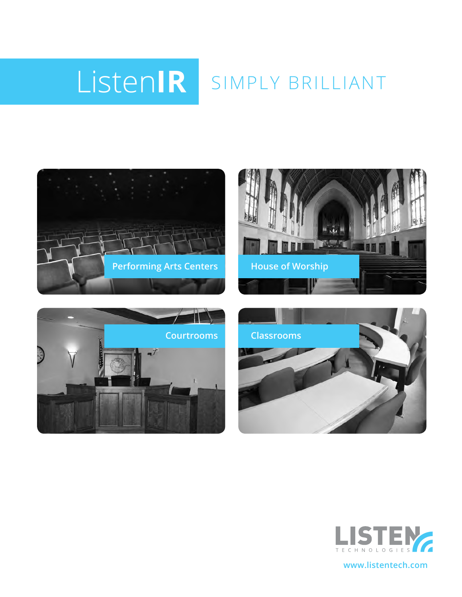# Listen**IR** SIMPLY BRILLIANT











**www.listentech.com**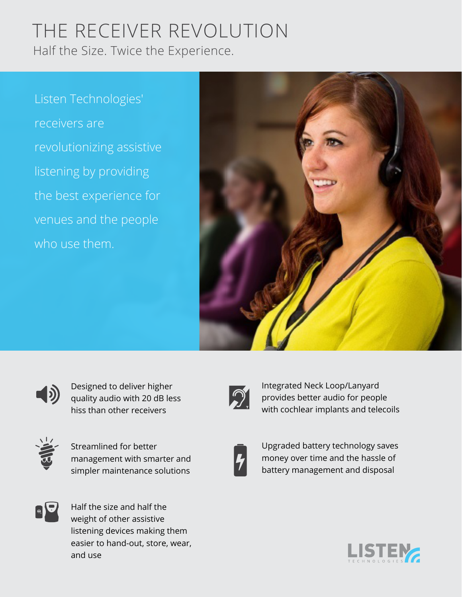## THE RECEIVER REVOLUTION Half the Size. Twice the Experience.

Listen Technologies' receivers are revolutionizing assistive listening by providing the best experience for venues and the people who use them.





Designed to deliver higher quality audio with 20 dB less hiss than other receivers



Streamlined for better management with smarter and simpler maintenance solutions



Integrated Neck Loop/Lanyard provides better audio for people with cochlear implants and telecoils



Upgraded battery technology saves money over time and the hassle of battery management and disposal



Half the size and half the weight of other assistive listening devices making them easier to hand-out, store, wear, and use

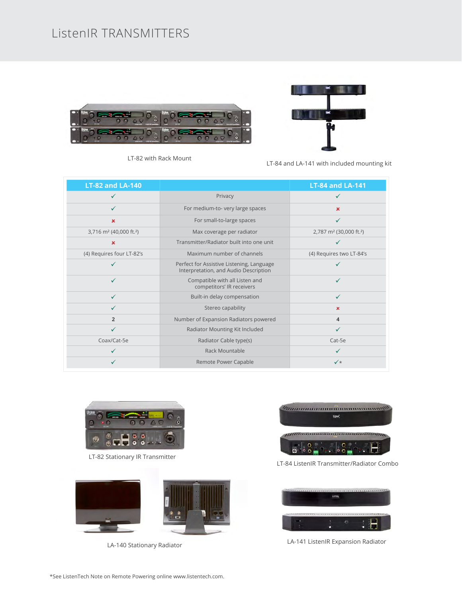## ListenIR TRANSMITTERS





LT-82 with Rack Mount

LT-84 and LA-141 with included mounting kit

| <b>LT-82 and LA-140</b>                         |                                                                                    | <b>LT-84 and LA-141</b>                         |
|-------------------------------------------------|------------------------------------------------------------------------------------|-------------------------------------------------|
|                                                 | Privacy                                                                            |                                                 |
|                                                 | For medium-to- very large spaces                                                   | $\mathbf x$                                     |
| $\mathbf x$                                     | For small-to-large spaces                                                          | $\checkmark$                                    |
| 3,716 m <sup>2</sup> (40,000 ft. <sup>2</sup> ) | Max coverage per radiator                                                          | 2,787 m <sup>2</sup> (30,000 ft. <sup>2</sup> ) |
| $\pmb{\times}$                                  | Transmitter/Radiator built into one unit                                           |                                                 |
| (4) Requires four LT-82's                       | Maximum number of channels                                                         | (4) Requires two LT-84's                        |
|                                                 | Perfect for Assistive Listening, Language<br>Interpretation, and Audio Description |                                                 |
| ✓                                               | Compatible with all Listen and<br>competitors' IR receivers                        | ✓                                               |
| ✓                                               | Built-in delay compensation                                                        | ✓                                               |
| ✓                                               | Stereo capability                                                                  | ×                                               |
| $\overline{2}$                                  | Number of Expansion Radiators powered                                              | 4                                               |
|                                                 | Radiator Mounting Kit Included                                                     |                                                 |
| Coax/Cat-5e                                     | Radiator Cable type(s)<br>Cat-5e                                                   |                                                 |
|                                                 | Rack Mountable                                                                     |                                                 |
|                                                 | Remote Power Capable                                                               | $\checkmark$                                    |



LT-82 Stationary IR Transmitter



LA-140 Stationary Radiator



LT-84 ListenIR Transmitter/Radiator Combo



LA-141 ListenIR Expansion Radiator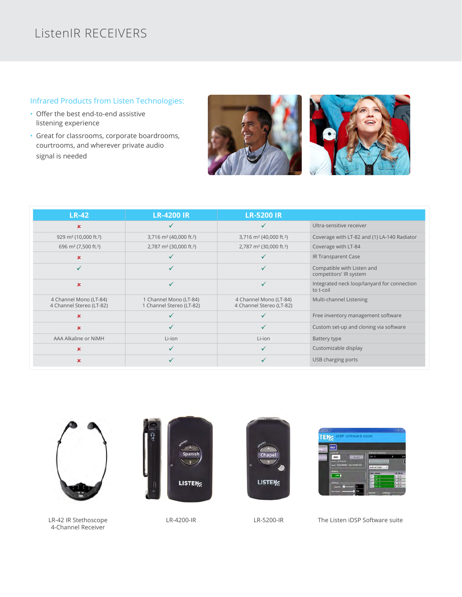## ListenIR RECEIVERS

#### Infrared Products from Listen Technologies:

- Offer the best end-to-end assistive listening experience
- Great for classrooms, corporate boardrooms, courtrooms, and wherever private audio signal is needed





| <b>LR-42</b>                                       | <b>LR-4200 IR</b>                                  | <b>LR-5200 IR</b>                                  |                                                          |
|----------------------------------------------------|----------------------------------------------------|----------------------------------------------------|----------------------------------------------------------|
| $\mathbf x$                                        |                                                    |                                                    | Ultra-sensitive receiver                                 |
| 929 m <sup>2</sup> (10,000 ft. <sup>2</sup> )      | 3,716 m <sup>2</sup> (40,000 ft. <sup>2</sup> )    | 3,716 m <sup>2</sup> (40,000 ft. <sup>2</sup> )    | Coverage with LT-82 and (1) LA-140 Radiator              |
| 696 m <sup>2</sup> (7,500 ft. <sup>2</sup> )       | 2,787 m <sup>2</sup> (30,000 ft. <sup>2</sup> )    | 2,787 m <sup>2</sup> (30,000 ft. <sup>2</sup> )    | Coverage with LT-84                                      |
| $\mathbf x$                                        |                                                    |                                                    | IR Transparent Case                                      |
| $\checkmark$                                       | ✓                                                  |                                                    | Compatible with Listen and<br>competitors' IR system     |
| ×                                                  | ✓                                                  | $\checkmark$                                       | Integrated neck loop/lanyard for connection<br>to t-coil |
| 4 Channel Mono (LT-84)<br>4 Channel Stereo (LT-82) | 1 Channel Mono (LT-84)<br>1 Channel Stereo (LT-82) | 4 Channel Mono (LT-84)<br>4 Channel Stereo (LT-82) | Multi-channel Listening                                  |
| ×                                                  |                                                    |                                                    | Free inventory management software                       |
| x                                                  | ✓                                                  |                                                    | Custom set-up and cloning via software                   |
| AAA Alkaline or NiMH                               | Li-ion                                             | Li-ion                                             | Battery type                                             |
| $\mathbf x$                                        | ✓                                                  |                                                    | Customizable display                                     |
| ×                                                  |                                                    |                                                    | USB charging ports                                       |



LR-42 IR Stethoscope 4-Channel Receiver

LR-4200-IR

LR-5200-IR The Listen iDSP Software suite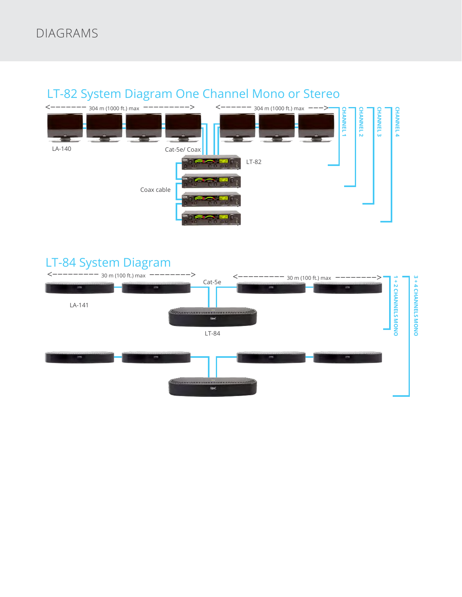## DIAGRAMS



## LT-82 System Diagram One Channel Mono or Stereo

## LT-84 System Diagram